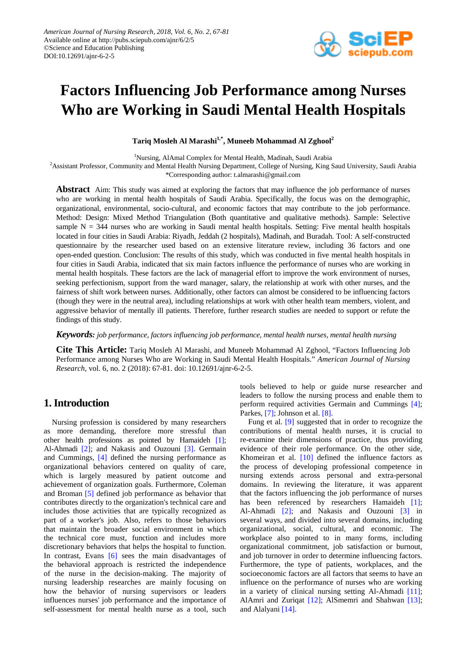

# **Factors Influencing Job Performance among Nurses Who are Working in Saudi Mental Health Hospitals**

**Tariq Mosleh Al Marashi1,\*, Muneeb Mohammad Al Zghool2**

<sup>1</sup>Nursing, AlAmal Complex for Mental Health, Madinah, Saudi Arabia

<sup>2</sup> Assistant Professor, Community and Mental Health Nursing Department, College of Nursing, King Saud University, Saudi Arabia

\*Corresponding author: t.almarashi@gmail.com

**Abstract** Aim: This study was aimed at exploring the factors that may influence the job performance of nurses who are working in mental health hospitals of Saudi Arabia. Specifically, the focus was on the demographic, organizational, environmental, socio-cultural, and economic factors that may contribute to the job performance. Method: Design: Mixed Method Triangulation (Both quantitative and qualitative methods). Sample: Selective sample  $N = 344$  nurses who are working in Saudi mental health hospitals. Setting: Five mental health hospitals located in four cities in Saudi Arabia: Riyadh, Jeddah (2 hospitals), Madinah, and Buradah. Tool: A self-constructed questionnaire by the researcher used based on an extensive literature review, including 36 factors and one open-ended question. Conclusion: The results of this study, which was conducted in five mental health hospitals in four cities in Saudi Arabia, indicated that six main factors influence the performance of nurses who are working in mental health hospitals. These factors are the lack of managerial effort to improve the work environment of nurses, seeking perfectionism, support from the ward manager, salary, the relationship at work with other nurses, and the fairness of shift work between nurses. Additionally, other factors can almost be considered to be influencing factors (though they were in the neutral area), including relationships at work with other health team members, violent, and aggressive behavior of mentally ill patients. Therefore, further research studies are needed to support or refute the findings of this study.

*Keywords: job performance, factors influencing job performance, mental health nurses, mental health nursing*

**Cite This Article:** Tariq Mosleh Al Marashi, and Muneeb Mohammad Al Zghool, "Factors Influencing Job Performance among Nurses Who are Working in Saudi Mental Health Hospitals." *American Journal of Nursing Research*, vol. 6, no. 2 (2018): 67-81. doi: 10.12691/ajnr-6-2-5.

# **1.Introduction**

Nursing profession is considered by many researchers as more demanding, therefore more stressful than other health professions as pointed by Hamaideh [\[1\];](#page-13-0) Al-Ahmadi [\[2\];](#page-13-1) and Nakasis and Ouzouni [\[3\].](#page-13-2) Germain and Cummings, [\[4\]](#page-13-3) defined the nursing performance as organizational behaviors centered on quality of care, which is largely measured by patient outcome and achievement of organization goals. Furthermore, Coleman and Broman [\[5\]](#page-13-4) defined job performance as behavior that contributes directly to the organization's technical care and includes those activities that are typically recognized as part of a worker's job. Also, refers to those behaviors that maintain the broader social environment in which the technical core must, function and includes more discretionary behaviors that helps the hospital to function. In contrast, Evans [\[6\]](#page-13-5) sees the main disadvantages of the behavioral approach is restricted the independence of the nurse in the decision-making. The majority of nursing leadership researches are mainly focusing on how the behavior of nursing supervisors or leaders influences nurses' job performance and the importance of self-assessment for mental health nurse as a tool, such tools believed to help or guide nurse researcher and leaders to follow the nursing process and enable them to perform required activities Germain and Cummings [\[4\];](#page-13-3) Parkes, [\[7\];](#page-13-6) Johnson et al. [\[8\].](#page-13-7)

Fung et al. [\[9\]](#page-13-8) suggested that in order to recognize the contributions of mental health nurses, it is crucial to re-examine their dimensions of practice, thus providing evidence of their role performance. On the other side, Khomeiran et al.  $[10]$  defined the influence factors as the process of developing professional competence in nursing extends across personal and extra-personal domains. In reviewing the literature, it was apparent that the factors influencing the job performance of nurses has been referenced by researchers Hamaideh [\[1\];](#page-13-0) Al-Ahmadi [\[2\];](#page-13-1) and Nakasis and Ouzouni [\[3\]](#page-13-2) in several ways, and divided into several domains, including organizational, social, cultural, and economic. The workplace also pointed to in many forms, including organizational commitment, job satisfaction or burnout, and job turnover in order to determine influencing factors. Furthermore, the type of patients, workplaces, and the socioeconomic factors are all factors that seems to have an influence on the performance of nurses who are working in a variety of clinical nursing setting Al-Ahmadi [\[11\];](#page-13-10) AlAmri and Zuriqat [\[12\];](#page-13-11) AlSmemri and Shahwan [\[13\];](#page-13-12) and Alalyani [\[14\].](#page-13-13)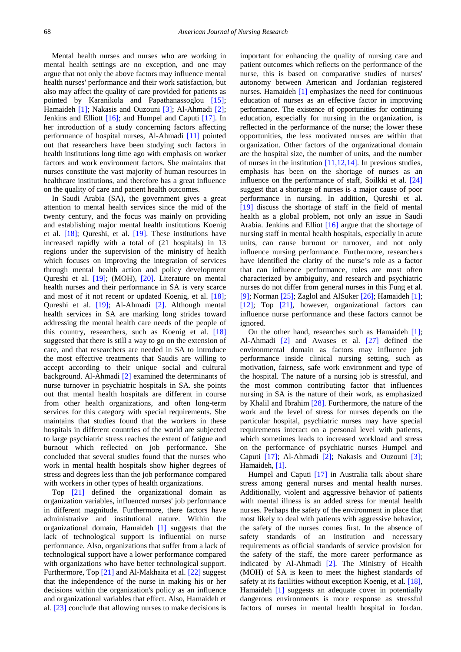Mental health nurses and nurses who are working in mental health settings are no exception, and one may argue that not only the above factors may influence mental health nurses' performance and their work satisfaction, but also may affect the quality of care provided for patients as pointed by Karanikola and Papathanassoglou [\[15\];](#page-13-14) Hamaideh [\[1\];](#page-13-0) Nakasis and Ouzouni [\[3\];](#page-13-2) Al-Ahmadi [\[2\];](#page-13-1) Jenkins and Elliott [\[16\];](#page-13-15) and Humpel and Caputi [\[17\].](#page-13-16) In her introduction of a study concerning factors affecting performance of hospital nurses, Al-Ahmadi [\[11\]](#page-13-10) pointed out that researchers have been studying such factors in health institutions long time ago with emphasis on worker factors and work environment factors. She maintains that nurses constitute the vast majority of human resources in healthcare institutions, and therefore has a great influence on the quality of care and patient health outcomes.

In Saudi Arabia (SA), the government gives a great attention to mental health services since the mid of the twenty century, and the focus was mainly on providing and establishing major mental health institutions Koenig et al. [\[18\];](#page-13-17) Qureshi, et al. [\[19\].](#page-13-18) These institutions have increased rapidly with a total of (21 hospitals) in 13 regions under the supervision of the ministry of health which focuses on improving the integration of services through mental health action and policy development Qureshi et al. [\[19\];](#page-13-18) (MOH), [\[20\].](#page-13-19) Literature on mental health nurses and their performance in SA is very scarce and most of it not recent or updated Koenig, et al. [\[18\];](#page-13-17) Qureshi et al. [\[19\];](#page-13-18) Al-Ahmadi [\[2\].](#page-13-1) Although mental health services in SA are marking long strides toward addressing the mental health care needs of the people of this country, researchers, such as Koenig et al. [\[18\]](#page-13-17) suggested that there is still a way to go on the extension of care, and that researchers are needed in SA to introduce the most effective treatments that Saudis are willing to accept according to their unique social and cultural background. Al-Ahmadi [\[2\]](#page-13-1) examined the determinants of nurse turnover in psychiatric hospitals in SA. she points out that mental health hospitals are different in course from other health organizations, and often long-term services for this category with special requirements. She maintains that studies found that the workers in these hospitals in different countries of the world are subjected to large psychiatric stress reaches the extent of fatigue and burnout which reflected on job performance. She concluded that several studies found that the nurses who work in mental health hospitals show higher degrees of stress and degrees less than the job performance compared with workers in other types of health organizations.

Top [\[21\]](#page-13-20) defined the organizational domain as organization variables, influenced nurses' job performance in different magnitude. Furthermore, there factors have administrative and institutional nature. Within the organizational domain, Hamaideh [\[1\]](#page-13-0) suggests that the lack of technological support is influential on nurse performance. Also, organizations that suffer from a lack of technological support have a lower performance compared with organizations who have better technological support. Furthermore, Top [\[21\]](#page-13-20) and Al-Makhaita et al. [\[22\]](#page-13-21) suggest that the independence of the nurse in making his or her decisions within the organization's policy as an influence and organizational variables that effect. Also, Hamaideh et al. [\[23\]](#page-13-22) conclude that allowing nurses to make decisions is

important for enhancing the quality of nursing care and patient outcomes which reflects on the performance of the nurse, this is based on comparative studies of nurses' autonomy between American and Jordanian registered nurses. Hamaideh [\[1\]](#page-13-0) emphasizes the need for continuous education of nurses as an effective factor in improving performance. The existence of opportunities for continuing education, especially for nursing in the organization, is reflected in the performance of the nurse; the lower these opportunities, the less motivated nurses are within that organization. Other factors of the organizational domain are the hospital size, the number of units, and the number of nurses in the institution  $[11,12,14]$ . In previous studies, emphasis has been on the shortage of nurses as an influence on the performance of staff, Soilkki et al. [\[24\]](#page-13-23) suggest that a shortage of nurses is a major cause of poor performance in nursing. In addition, Qureshi et al. [\[19\]](#page-13-18) discuss the shortage of staff in the field of mental health as a global problem, not only an issue in Saudi Arabia. Jenkins and Elliot [\[16\]](#page-13-15) argue that the shortage of nursing staff in mental health hospitals, especially in acute units, can cause burnout or turnover, and not only influence nursing performance. Furthermore, researchers have identified the clarity of the nurse's role as a factor that can influence performance, roles are most often characterized by ambiguity, and research and psychiatric nurses do not differ from general nurses in this Fung et al. [\[9\];](#page-13-8) Norman  $[25]$ ; Zaglol and AlSuker  $[26]$ ; Hamaideh  $[1]$ ; [\[12\];](#page-13-11) Top [\[21\],](#page-13-20) however, organizational factors can influence nurse performance and these factors cannot be ignored.

On the other hand, researches such as Hamaideh [\[1\];](#page-13-0) Al-Ahmadi [\[2\]](#page-13-1) and Awases et al. [\[27\]](#page-13-26) defined the environmental domain as factors may influence job performance inside clinical nursing setting, such as motivation, fairness, safe work environment and type of the hospital. The nature of a nursing job is stressful, and the most common contributing factor that influences nursing in SA is the nature of their work, as emphasized by Khalil and Ibrahim [\[28\].](#page-13-27) Furthermore, the nature of the work and the level of stress for nurses depends on the particular hospital, psychiatric nurses may have special requirements interact on a personal level with patients, which sometimes leads to increased workload and stress on the performance of psychiatric nurses Humpel and Caputi [\[17\];](#page-13-16) Al-Ahmadi [\[2\];](#page-13-1) Nakasis and Ouzouni [\[3\];](#page-13-2) Hamaideh, [\[1\].](#page-13-0)

Humpel and Caputi [\[17\]](#page-13-16) in Australia talk about share stress among general nurses and mental health nurses. Additionally, violent and aggressive behavior of patients with mental illness is an added stress for mental health nurses. Perhaps the safety of the environment in place that most likely to deal with patients with aggressive behavior, the safety of the nurses comes first. In the absence of safety standards of an institution and necessary requirements as official standards of service provision for the safety of the staff, the more career performance as indicated by Al-Ahmadi [\[2\].](#page-13-1) The Ministry of Health (MOH) of SA is keen to meet the highest standards of safety at its facilities without exception Koenig, et al. [\[18\],](#page-13-17) Hamaideh [\[1\]](#page-13-0) suggests an adequate cover in potentially dangerous environments is more response as stressful factors of nurses in mental health hospital in Jordan.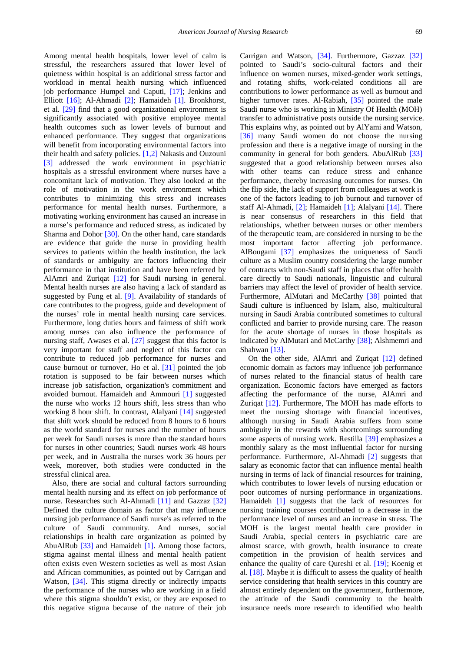Among mental health hospitals, lower level of calm is stressful, the researchers assured that lower level of quietness within hospital is an additional stress factor and workload in mental health nursing which influenced job performance Humpel and Caputi, [\[17\];](#page-13-16) Jenkins and Elliott [\[16\];](#page-13-15) Al-Ahmadi [\[2\];](#page-13-1) Hamaideh [\[1\].](#page-13-0) Bronkhorst, et al. [\[29\]](#page-13-28) find that a good organizational environment is significantly associated with positive employee mental health outcomes such as lower levels of burnout and enhanced performance. They suggest that organizations will benefit from incorporating environmental factors into their health and safety policies. [\[1,2\]](#page-13-0) Nakasis and Ouzouni [\[3\]](#page-13-2) addressed the work environment in psychiatric hospitals as a stressful environment where nurses have a concomitant lack of motivation. They also looked at the role of motivation in the work environment which contributes to minimizing this stress and increases performance for mental health nurses. Furthermore, a motivating working environment has caused an increase in a nurse's performance and reduced stress, as indicated by Sharma and Dohor [\[30\].](#page-13-29) On the other hand, care standards are evidence that guide the nurse in providing health services to patients within the health institution, the lack of standards or ambiguity are factors influencing their performance in that institution and have been referred by AlAmri and Zuriqat [\[12\]](#page-13-11) for Saudi nursing in general. Mental health nurses are also having a lack of standard as suggested by Fung et al. [\[9\].](#page-13-8) Availability of standards of care contributes to the progress, guide and development of the nurses' role in mental health nursing care services. Furthermore, long duties hours and fairness of shift work among nurses can also influence the performance of nursing staff, Awases et al. [\[27\]](#page-13-26) suggest that this factor is very important for staff and neglect of this factor can contribute to reduced job performance for nurses and cause burnout or turnover, Ho et al. [\[31\]](#page-13-30) pointed the job rotation is supposed to be fair between nurses which increase job satisfaction, organization's commitment and avoided burnout. Hamaideh and Ammouri [\[1\]](#page-13-0) suggested the nurse who works 12 hours shift, less stress than who working 8 hour shift. In contrast, Alalyani [\[14\]](#page-13-13) suggested that shift work should be reduced from 8 hours to 6 hours as the world standard for nurses and the number of hours per week for Saudi nurses is more than the standard hours for nurses in other countries; Saudi nurses work 48 hours per week, and in Australia the nurses work 36 hours per week, moreover, both studies were conducted in the stressful clinical area.

Also, there are social and cultural factors surrounding mental health nursing and its effect on job performance of nurse. Researches such Al-Ahmadi [\[11\]](#page-13-10) and Gazzaz [\[32\]](#page-13-31) Defined the culture domain as factor that may influence nursing job performance of Saudi nurse's as referred to the culture of Saudi community. And nurses, social relationships in health care organization as pointed by AbuAlRub [\[33\]](#page-13-32) and Hamaideh [\[1\].](#page-13-0) Among those factors, stigma against mental illness and mental health patient often exists even Western societies as well as most Asian and African communities, as pointed out by Carrigan and Watson, [\[34\].](#page-13-33) This stigma directly or indirectly impacts the performance of the nurses who are working in a field where this stigma shouldn't exist, or they are exposed to this negative stigma because of the nature of their job

Carrigan and Watson, [\[34\].](#page-13-33) Furthermore, Gazzaz [\[32\]](#page-13-31) pointed to Saudi's socio-cultural factors and their influence on women nurses, mixed-gender work settings, and rotating shifts, work-related conditions all are contributions to lower performance as well as burnout and higher turnover rates. Al-Rabiah, [\[35\]](#page-13-34) pointed the male Saudi nurse who is working in Ministry Of Health (MOH) transfer to administrative posts outside the nursing service. This explains why, as pointed out by AlYami and Watson, [\[36\]](#page-13-35) many Saudi women do not choose the nursing profession and there is a negative image of nursing in the community in general for both genders. AbuAlRub [\[33\]](#page-13-32) suggested that a good relationship between nurses also with other teams can reduce stress and enhance performance, thereby increasing outcomes for nurses. On the flip side, the lack of support from colleagues at work is one of the factors leading to job burnout and turnover of staff Al-Ahmadi, [\[2\];](#page-13-1) Hamaideh [\[1\];](#page-13-0) Alalyani [\[14\].](#page-13-13) There is near consensus of researchers in this field that relationships, whether between nurses or other members of the therapeutic team, are considered in nursing to be the most important factor affecting job performance. AlBougami [\[37\]](#page-13-36) emphasizes the uniqueness of Saudi culture as a Muslim country considering the large number of contracts with non-Saudi staff in places that offer health care directly to Saudi nationals, linguistic and cultural barriers may affect the level of provider of health service. Furthermore, AlMutari and McCarthy [\[38\]](#page-13-37) pointed that Saudi culture is influenced by Islam, also, multicultural nursing in Saudi Arabia contributed sometimes to cultural conflicted and barrier to provide nursing care. The reason for the acute shortage of nurses in those hospitals as indicated by AlMutari and McCarthy [\[38\];](#page-13-37) Alshmemri and Shahwan [\[13\].](#page-13-12)

On the other side, AlAmri and Zuriqat [\[12\]](#page-13-11) defined economic domain as factors may influence job performance of nurses related to the financial status of health care organization. Economic factors have emerged as factors affecting the performance of the nurse, AlAmri and Zuriqat [\[12\].](#page-13-11) Furthermore, The MOH has made efforts to meet the nursing shortage with financial incentives, although nursing in Saudi Arabia suffers from some ambiguity in the rewards with shortcomings surrounding some aspects of nursing work. Restilla [\[39\]](#page-13-38) emphasizes a monthly salary as the most influential factor for nursing performance. Furthermore, Al-Ahmadi [\[2\]](#page-13-1) suggests that salary as economic factor that can influence mental health nursing in terms of lack of financial resources for training, which contributes to lower levels of nursing education or poor outcomes of nursing performance in organizations. Hamaideh [\[1\]](#page-13-0) suggests that the lack of resources for nursing training courses contributed to a decrease in the performance level of nurses and an increase in stress. The MOH is the largest mental health care provider in Saudi Arabia, special centers in psychiatric care are almost scarce, with growth, health insurance to create competition in the provision of health services and enhance the quality of care Qureshi et al. [\[19\];](#page-13-18) Koenig et al. [\[18\].](#page-13-17) Maybe it is difficult to assess the quality of health service considering that health services in this country are almost entirely dependent on the government, furthermore, the attitude of the Saudi community to the health insurance needs more research to identified who health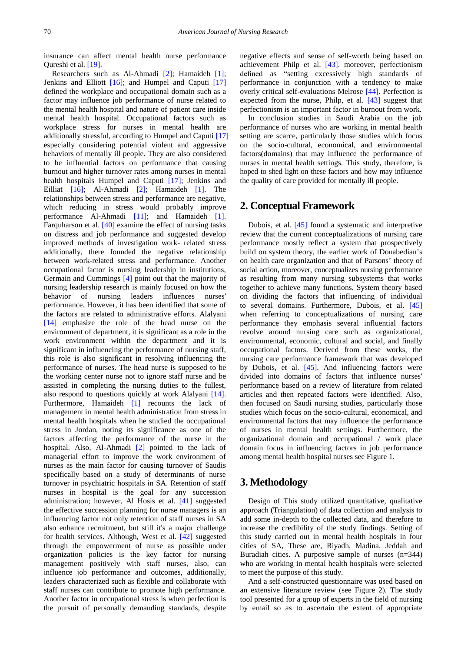insurance can affect mental health nurse performance Qureshi et al. [\[19\].](#page-13-18)

Researchers such as Al-Ahmadi [\[2\];](#page-13-1) Hamaideh [\[1\];](#page-13-0) Jenkins and Elliott [\[16\];](#page-13-15) and Humpel and Caputi [\[17\]](#page-13-16) defined the workplace and occupational domain such as a factor may influence job performance of nurse related to the mental health hospital and nature of patient care inside mental health hospital. Occupational factors such as workplace stress for nurses in mental health are additionally stressful, according to Humpel and Caputi [\[17\]](#page-13-16) especially considering potential violent and aggressive behaviors of mentally ill people. They are also considered to be influential factors on performance that causing burnout and higher turnover rates among nurses in mental health hospitals Humpel and Caputi [\[17\];](#page-13-16) Jenkins and Eilliat [\[16\];](#page-13-15) Al-Ahmadi [\[2\];](#page-13-1) Hamaideh [\[1\].](#page-13-0) The relationships between stress and performance are negative, which reducing in stress would probably improve performance Al-Ahmadi [\[11\];](#page-13-10) and Hamaideh [\[1\].](#page-13-0) Farquharson et al. [\[40\]](#page-14-0) examine the effect of nursing tasks on distress and job performance and suggested develop improved methods of investigation work- related stress additionally, there founded the negative relationship between work-related stress and performance. Another occupational factor is nursing leadership in institutions, Germain and Cummings [\[4\]](#page-13-3) point out that the majority of nursing leadership research is mainly focused on how the behavior of nursing leaders influences nurses' performance. However, it has been identified that some of the factors are related to administrative efforts. Alalyani [\[14\]](#page-13-13) emphasize the role of the head nurse on the environment of department, it is significant as a role in the work environment within the department and it is significant in influencing the performance of nursing staff, this role is also significant in resolving influencing the performance of nurses. The head nurse is supposed to be the working center nurse not to ignore staff nurse and be assisted in completing the nursing duties to the fullest, also respond to questions quickly at work Alalyani [\[14\].](#page-13-13) Furthermore, Hamaideh [\[1\]](#page-13-0) recounts the lack of management in mental health administration from stress in mental health hospitals when he studied the occupational stress in Jordan, noting its significance as one of the factors affecting the performance of the nurse in the hospital. Also, Al-Ahmadi [\[2\]](#page-13-1) pointed to the lack of managerial effort to improve the work environment of nurses as the main factor for causing turnover of Saudis specifically based on a study of determinants of nurse turnover in psychiatric hospitals in SA. Retention of staff nurses in hospital is the goal for any succession administration; however, Al Hosis et al. [\[41\]](#page-14-1) suggested the effective succession planning for nurse managers is an influencing factor not only retention of staff nurses in SA also enhance recruitment, but still it's a major challenge for health services. Although, West et al. [\[42\]](#page-14-2) suggested through the empowerment of nurse as possible under organization policies is the key factor for nursing management positively with staff nurses, also, can influence job performance and outcomes, additionally, leaders characterized such as flexible and collaborate with staff nurses can contribute to promote high performance. Another factor in occupational stress is when perfection is the pursuit of personally demanding standards, despite

negative effects and sense of self-worth being based on achievement Philp et al. [\[43\].](#page-14-3) moreover, perfectionism defined as "setting excessively high standards of performance in conjunction with a tendency to make overly critical self-evaluations Melrose [\[44\].](#page-14-4) Perfection is expected from the nurse, Philp, et al. [\[43\]](#page-14-3) suggest that perfectionism is an important factor in burnout from work.

In conclusion studies in Saudi Arabia on the job performance of nurses who are working in mental health setting are scarce, particularly those studies which focus on the socio-cultural, economical, and environmental factors(domains) that may influence the performance of nurses in mental health settings. This study, therefore, is hoped to shed light on these factors and how may influence the quality of care provided for mentally ill people.

#### **2. Conceptual Framework**

Dubois, et al. [\[45\]](#page-14-5) found a systematic and interpretive review that the current conceptualizations of nursing care performance mostly reflect a system that prospectively build on system theory, the earlier work of Donabedian's on health care organization and that of Parsons' theory of social action, moreover, conceptualizes nursing performance as resulting from many nursing subsystems that works together to achieve many functions. System theory based on dividing the factors that influencing of individual to several domains. Furthermore, Dubois, et al. [\[45\]](#page-14-5) when referring to conceptualizations of nursing care performance they emphasis several influential factors revolve around nursing care such as organizational, environmental, economic, cultural and social, and finally occupational factors. Derived from these works, the nursing care performance framework that was developed by Dubois, et al. [\[45\].](#page-14-5) And influencing factors were divided into domains of factors that influence nurses' performance based on a review of literature from related articles and then repeated factors were identified. Also, then focused on Saudi nursing studies, particularly those studies which focus on the socio-cultural, economical, and environmental factors that may influence the performance of nurses in mental health settings. Furthermore, the organizational domain and occupational / work place domain focus in influencing factors in job performance among mental health hospital nurses see Figure 1.

# **3. Methodology**

Design of This study utilized quantitative, qualitative approach (Triangulation) of data collection and analysis to add some in-depth to the collected data, and therefore to increase the credibility of the study findings. Setting of this study carried out in mental health hospitals in four cities of SA, These are, Riyadh, Madina, Jeddah and Buradiah cities. A purposive sample of nurses (n=344) who are working in mental health hospitals were selected to meet the purpose of this study.

And a self-constructed questionnaire was used based on an extensive literature review (see Figure 2). The study tool presented for a group of experts in the field of nursing by email so as to ascertain the extent of appropriate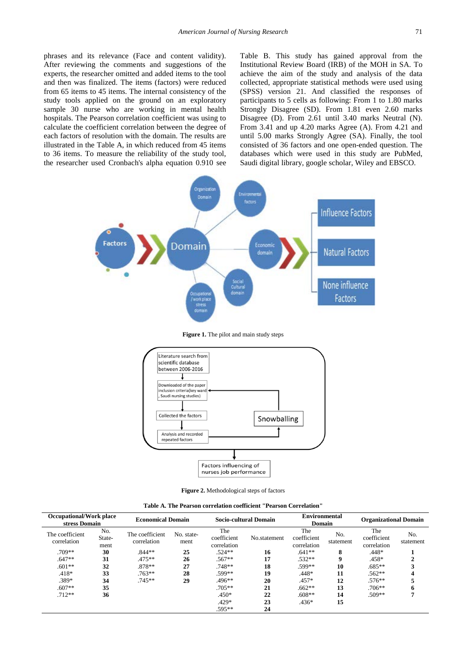phrases and its relevance (Face and content validity). After reviewing the comments and suggestions of the experts, the researcher omitted and added items to the tool and then was finalized. The items (factors) were reduced from 65 items to 45 items. The internal consistency of the study tools applied on the ground on an exploratory sample 30 nurse who are working in mental health hospitals. The Pearson correlation coefficient was using to calculate the coefficient correlation between the degree of each factors of resolution with the domain. The results are illustrated in the Table A, in which reduced from 45 items to 36 items. To measure the reliability of the study tool, the researcher used Cronbach's alpha equation 0.910 see

Table B. This study has gained approval from the Institutional Review Board (IRB) of the MOH in SA. To achieve the aim of the study and analysis of the data collected, appropriate statistical methods were used using (SPSS) version 21. And classified the responses of participants to 5 cells as following: From 1 to 1.80 marks Strongly Disagree (SD). From 1.81 even 2.60 marks Disagree (D). From 2.61 until 3.40 marks Neutral (N). From 3.41 and up 4.20 marks Agree (A). From 4.21 and until 5.00 marks Strongly Agree (SA). Finally, the tool consisted of 36 factors and one open-ended question. The databases which were used in this study are PubMed, Saudi digital library, google scholar, Wiley and EBSCO.



**Figure 1.** The pilot and main study steps



**Figure 2.** Methodological steps of factors

| Table A. The Pearson correlation coefficient ''Pearson Correlation'' |  |
|----------------------------------------------------------------------|--|
|----------------------------------------------------------------------|--|

| <b>Occupational/Work place</b><br>stress Domain |                       | <b>Economical Domain</b>       |                    |                                   | Socio-cultural Domain | <b>Environmental</b><br>Domain    |                  | <b>Organizational Domain</b>      |                  |
|-------------------------------------------------|-----------------------|--------------------------------|--------------------|-----------------------------------|-----------------------|-----------------------------------|------------------|-----------------------------------|------------------|
| The coefficient<br>correlation                  | No.<br>State-<br>ment | The coefficient<br>correlation | No. state-<br>ment | The<br>coefficient<br>correlation | No.statement          | The<br>coefficient<br>correlation | No.<br>statement | The<br>coefficient<br>correlation | No.<br>statement |
| $.709**$                                        | 30                    | $.844**$                       | 25                 | $.524**$                          | 16                    | $.641**$                          | 8                | $.448*$                           |                  |
| $.647**$                                        | 31                    | $.475**$                       | 26                 | $.567**$                          | 17                    | $.532**$                          | 9                | $.458*$                           |                  |
| $.601**$                                        | 32                    | $.878**$                       | 27                 | $.748**$                          | 18                    | .599**                            | 10               | $.685**$                          |                  |
| $.418*$                                         | 33                    | $.763**$                       | 28                 | .599**                            | 19                    | $.448*$                           | 11               | $.562**$                          |                  |
| .389*                                           | 34                    | $.745**$                       | 29                 | $.496**$                          | 20                    | $.457*$                           | 12               | $.576**$                          |                  |
| $.607**$                                        | 35                    |                                |                    | $.705**$                          | 21                    | $.662**$                          | 13               | $.706**$                          | 6                |
| $.712**$                                        | 36                    |                                |                    | $.450*$                           | 22                    | $.608**$                          | 14               | $.509**$                          |                  |
|                                                 |                       |                                |                    | $.429*$                           | 23                    | $.436*$                           | 15               |                                   |                  |
|                                                 |                       |                                |                    | .595**                            | 24                    |                                   |                  |                                   |                  |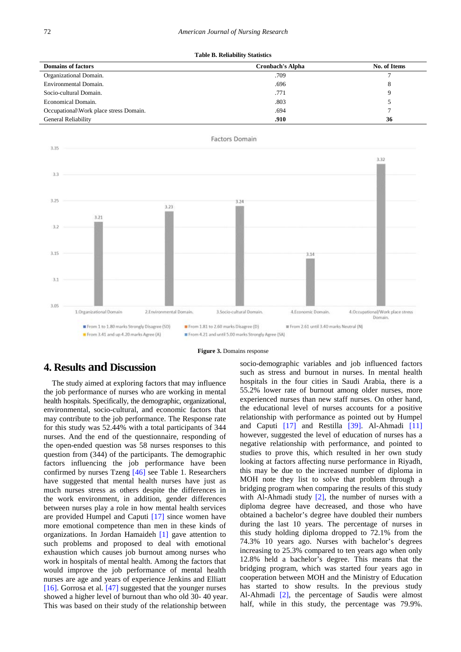|  | Table B. Reliability Statistics |  |
|--|---------------------------------|--|
|  |                                 |  |

| <b>Domains of factors</b>              | <b>Cronbach's Alpha</b> | No. of Items |
|----------------------------------------|-------------------------|--------------|
| Organizational Domain.                 | .709                    |              |
| Environmental Domain.                  | .696                    | 8            |
| Socio-cultural Domain.                 | .771                    |              |
| Economical Domain.                     | .803                    |              |
| Occupational\Work place stress Domain. | .694                    |              |
| <b>General Reliability</b>             | .910                    | 36           |





## **4. Results and Discussion**

The study aimed at exploring factors that may influence the job performance of nurses who are working in mental health hospitals. Specifically, the demographic, organizational, environmental, socio-cultural, and economic factors that may contribute to the job performance. The Response rate for this study was 52.44% with a total participants of 344 nurses. And the end of the questionnaire, responding of the open-ended question was 58 nurses responses to this question from (344) of the participants. The demographic factors influencing the job performance have been confirmed by nurses Tzeng [\[46\]](#page-14-6) see Table 1. Researchers have suggested that mental health nurses have just as much nurses stress as others despite the differences in the work environment, in addition, gender differences between nurses play a role in how mental health services are provided Humpel and Caputi [\[17\]](#page-13-16) since women have more emotional competence than men in these kinds of organizations. In Jordan Hamaideh [\[1\]](#page-13-0) gave attention to such problems and proposed to deal with emotional exhaustion which causes job burnout among nurses who work in hospitals of mental health. Among the factors that would improve the job performance of mental health nurses are age and years of experience Jenkins and Elliatt [\[16\].](#page-13-15) Gorrosa et al. [\[47\]](#page-14-7) suggested that the younger nurses showed a higher level of burnout than who old 30- 40 year. This was based on their study of the relationship between

socio-demographic variables and job influenced factors such as stress and burnout in nurses. In mental health hospitals in the four cities in Saudi Arabia, there is a 55.2% lower rate of burnout among older nurses, more experienced nurses than new staff nurses. On other hand, the educational level of nurses accounts for a positive relationship with performance as pointed out by Humpel and Caputi [\[17\]](#page-13-16) and Restilla [\[39\].](#page-13-38) Al-Ahmadi [\[11\]](#page-13-10) however, suggested the level of education of nurses has a negative relationship with performance, and pointed to studies to prove this, which resulted in her own study looking at factors affecting nurse performance in Riyadh, this may be due to the increased number of diploma in MOH note they list to solve that problem through a bridging program when comparing the results of this study with Al-Ahmadi study  $[2]$ , the number of nurses with a diploma degree have decreased, and those who have obtained a bachelor's degree have doubled their numbers during the last 10 years. The percentage of nurses in this study holding diploma dropped to 72.1% from the 74.3% 10 years ago. Nurses with bachelor's degrees increasing to 25.3% compared to ten years ago when only 12.8% held a bachelor's degree. This means that the bridging program, which was started four years ago in cooperation between MOH and the Ministry of Education has started to show results. In the previous study Al-Ahmadi [\[2\],](#page-13-1) the percentage of Saudis were almost half, while in this study, the percentage was 79.9%.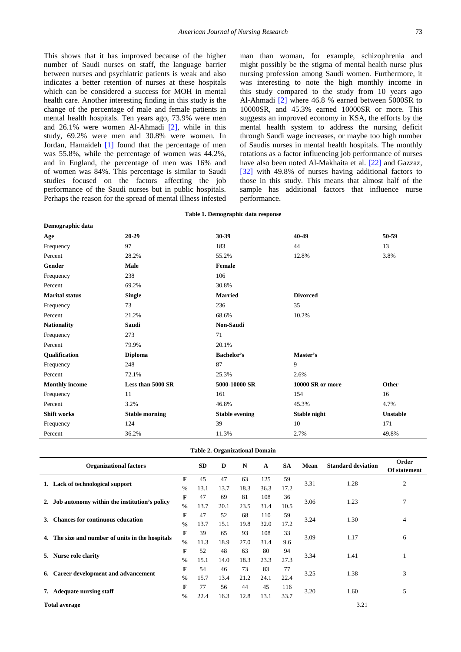This shows that it has improved because of the higher number of Saudi nurses on staff, the language barrier between nurses and psychiatric patients is weak and also indicates a better retention of nurses at these hospitals which can be considered a success for MOH in mental health care. Another interesting finding in this study is the change of the percentage of male and female patients in mental health hospitals. Ten years ago, 73.9% were men and 26.1% were women Al-Ahmadi [\[2\],](#page-13-1) while in this study, 69.2% were men and 30.8% were women. In Jordan, Hamaideh [\[1\]](#page-13-0) found that the percentage of men was 55.8%, while the percentage of women was 44.2%, and in England, the percentage of men was 16% and of women was 84%. This percentage is similar to Saudi studies focused on the factors affecting the job performance of the Saudi nurses but in public hospitals. Perhaps the reason for the spread of mental illness infested man than woman, for example, schizophrenia and might possibly be the stigma of mental health nurse plus nursing profession among Saudi women. Furthermore, it was interesting to note the high monthly income in this study compared to the study from 10 years ago Al-Ahmadi [\[2\]](#page-13-1) where 46.8 % earned between 5000SR to 10000SR, and 45.3% earned 10000SR or more. This suggests an improved economy in KSA, the efforts by the mental health system to address the nursing deficit through Saudi wage increases, or maybe too high number of Saudis nurses in mental health hospitals. The monthly rotations as a factor influencing job performance of nurses have also been noted Al-Makhaita et al. [\[22\]](#page-13-21) and Gazzaz, [\[32\]](#page-13-31) with 49.8% of nurses having additional factors to those in this study. This means that almost half of the sample has additional factors that influence nurse performance.

|  |  | Table 1. Demographic data response |  |  |  |
|--|--|------------------------------------|--|--|--|
|--|--|------------------------------------|--|--|--|

| Demographic data      |                       |                       |                  |                 |  |  |  |  |  |
|-----------------------|-----------------------|-----------------------|------------------|-----------------|--|--|--|--|--|
| Age                   | $20 - 29$             | 30-39                 | 40-49            | 50-59           |  |  |  |  |  |
| Frequency             | 97                    | 183                   | 44               | 13              |  |  |  |  |  |
| Percent               | 28.2%                 | 55.2%                 | 12.8%            | 3.8%            |  |  |  |  |  |
| Gender                | Male                  | Female                |                  |                 |  |  |  |  |  |
| Frequency             | 238                   | 106                   |                  |                 |  |  |  |  |  |
| Percent               | 69.2%                 | 30.8%                 |                  |                 |  |  |  |  |  |
| <b>Marital status</b> | <b>Single</b>         | <b>Married</b>        | <b>Divorced</b>  |                 |  |  |  |  |  |
| Frequency             | 73                    | 236                   | 35               |                 |  |  |  |  |  |
| Percent               | 21.2%                 | 68.6%                 | 10.2%            |                 |  |  |  |  |  |
| <b>Nationality</b>    | Saudi                 | <b>Non-Saudi</b>      |                  |                 |  |  |  |  |  |
| Frequency             | 273                   | 71                    |                  |                 |  |  |  |  |  |
| Percent               | 79.9%                 | 20.1%                 |                  |                 |  |  |  |  |  |
| Qualification         | <b>Diploma</b>        | <b>Bachelor's</b>     | Master's         |                 |  |  |  |  |  |
| Frequency             | 248                   | 87                    | 9                |                 |  |  |  |  |  |
| Percent               | 72.1%                 | 25.3%                 | 2.6%             |                 |  |  |  |  |  |
| <b>Monthly income</b> | Less than 5000 SR     | 5000-10000 SR         | 10000 SR or more | Other           |  |  |  |  |  |
| Frequency             | 11                    | 161                   | 154              | 16              |  |  |  |  |  |
| Percent               | 3.2%                  | 46.8%                 | 45.3%            | 4.7%            |  |  |  |  |  |
| Shift works           | <b>Stable morning</b> | <b>Stable evening</b> | Stable night     | <b>Unstable</b> |  |  |  |  |  |
| Frequency             | 124                   | 39                    | 10               | 171             |  |  |  |  |  |
| Percent               | 36.2%                 | 11.3%                 | 2.7%             | 49.8%           |  |  |  |  |  |

|  | <b>Table 2. Organizational Domain</b> |  |
|--|---------------------------------------|--|
|--|---------------------------------------|--|

| <b>Organizational factors</b>                       |               | <b>SD</b> | D    | N    | A    | <b>SA</b> | Mean | <b>Standard deviation</b> | Order<br>Of statement |  |
|-----------------------------------------------------|---------------|-----------|------|------|------|-----------|------|---------------------------|-----------------------|--|
|                                                     | F             | 45        | 47   | 63   | 125  | 59        | 3.31 | 1.28                      | $\overline{2}$        |  |
| 1. Lack of technological support                    | $\frac{0}{0}$ | 13.1      | 13.7 | 18.3 | 36.3 | 17.2      |      |                           |                       |  |
| 2. Job autonomy within the institution's policy     | F             | 47        | 69   | 81   | 108  | 36        | 3.06 | 1.23                      | 7                     |  |
|                                                     | $\frac{0}{0}$ | 13.7      | 20.1 | 23.5 | 31.4 | 10.5      |      |                           |                       |  |
| <b>Chances for continuous education</b><br>3.       | F             | 47        | 52   | 68   | 110  | 59        | 3.24 | 1.30                      | $\overline{4}$        |  |
|                                                     | $\frac{0}{0}$ | 13.7      | 15.1 | 19.8 | 32.0 | 17.2      |      |                           |                       |  |
| The size and number of units in the hospitals<br>4. | F             | 39        | 65   | 93   | 108  | 33        | 3.09 | 1.17                      | 6                     |  |
|                                                     | $\frac{0}{0}$ | 11.3      | 18.9 | 27.0 | 31.4 | 9.6       |      |                           |                       |  |
| Nurse role clarity<br>5.                            | F             | 52        | 48   | 63   | 80   | 94        | 3.34 | 1.41                      |                       |  |
|                                                     | $\frac{0}{0}$ | 15.1      | 14.0 | 18.3 | 23.3 | 27.3      |      |                           | -1                    |  |
| Career development and advancement<br>6.            | F             | 54        | 46   | 73   | 83   | 77        | 3.25 | 1.38                      | 3                     |  |
|                                                     | $\frac{0}{0}$ | 15.7      | 13.4 | 21.2 | 24.1 | 22.4      |      |                           |                       |  |
| 7. Adequate nursing staff                           | F             | 77        | 56   | 44   | 45   | 116       | 3.20 | 1.60                      | 5                     |  |
|                                                     | $\frac{0}{0}$ | 22.4      | 16.3 | 12.8 | 13.1 | 33.7      |      |                           |                       |  |
| <b>Total average</b>                                |               |           |      |      |      |           |      | 3.21                      |                       |  |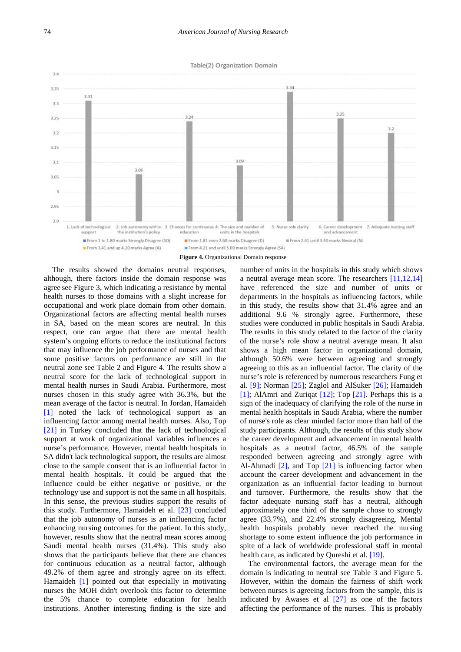



The results showed the domains neutral responses, although, there factors inside the domain response was agree see Figure 3, which indicating a resistance by mental health nurses to those domains with a slight increase for occupational and work place domain from other domain. Organizational factors are affecting mental health nurses in SA, based on the mean scores are neutral. In this respect, one can argue that there are mental health system's ongoing efforts to reduce the institutional factors that may influence the job performance of nurses and that some positive factors on performance are still in the neutral zone see Table 2 and Figure 4. The results show a neutral score for the lack of technological support in mental health nurses in Saudi Arabia. Furthermore, most nurses chosen in this study agree with 36.3%, but the mean average of the factor is neutral. In Jordan, Hamaideh [\[1\]](#page-13-0) noted the lack of technological support as an influencing factor among mental health nurses. Also, Top [\[21\]](#page-13-20) in Turkey concluded that the lack of technological support at work of organizational variables influences a nurse's performance. However, mental health hospitals in SA didn't lack technological support, the results are almost close to the sample consent that is an influential factor in mental health hospitals. It could be argued that the influence could be either negative or positive, or the technology use and support is not the same in all hospitals. In this sense, the previous studies support the results of this study. Furthermore, Hamaideh et al. [\[23\]](#page-13-22) concluded that the job autonomy of nurses is an influencing factor enhancing nursing outcomes for the patient. In this study, however, results show that the neutral mean scores among Saudi mental health nurses (31.4%). This study also shows that the participants believe that there are chances for continuous education as a neutral factor, although 49.2% of them agree and strongly agree on its effect. Hamaideh [\[1\]](#page-13-0) pointed out that especially in motivating nurses the MOH didn't overlook this factor to determine the 5% chance to complete education for health institutions. Another interesting finding is the size and

number of units in the hospitals in this study which shows a neutral average mean score. The researchers [\[11,12,14\]](#page-13-10) have referenced the size and number of units or departments in the hospitals as influencing factors, while in this study, the results show that 31.4% agree and an additional 9.6 % strongly agree. Furthermore, these studies were conducted in public hospitals in Saudi Arabia. The results in this study related to the factor of the clarity of the nurse's role show a neutral average mean. It also shows a high mean factor in organizational domain, although 50.6% were between agreeing and strongly agreeing to this as an influential factor. The clarity of the nurse's role is referenced by numerous researchers Fung et al. [\[9\];](#page-13-8) Norman [\[25\];](#page-13-24) Zaglol and AlSuker [\[26\];](#page-13-25) Hamaideh [\[1\];](#page-13-0) AlAmri and Zuriqat [\[12\];](#page-13-11) Top [\[21\].](#page-13-20) Perhaps this is a sign of the inadequacy of clarifying the role of the nurse in mental health hospitals in Saudi Arabia, where the number of nurse's role as clear minded factor more than half of the study participants. Although, the results of this study show the career development and advancement in mental health hospitals as a neutral factor, 46.5% of the sample responded between agreeing and strongly agree with Al-Ahmadi [\[2\],](#page-13-1) and Top [\[21\]](#page-13-20) is influencing factor when account the career development and advancement in the organization as an influential factor leading to burnout and turnover. Furthermore, the results show that the factor adequate nursing staff has a neutral, although approximately one third of the sample chose to strongly agree (33.7%), and 22.4% strongly disagreeing. Mental health hospitals probably never reached the nursing shortage to some extent influence the job performance in spite of a lack of worldwide professional staff in mental health care, as indicated by Qureshi et al. [\[19\].](#page-13-18)

The environmental factors, the average mean for the domain is indicating to neutral see Table 3 and Figure 5. However, within the domain the fairness of shift work between nurses is agreeing factors from the sample, this is indicated by Awases et al [\[27\]](#page-13-26) as one of the factors affecting the performance of the nurses. This is probably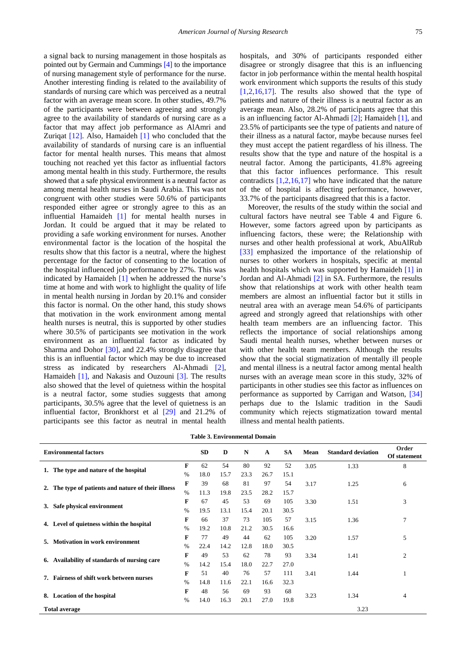a signal back to nursing management in those hospitals as pointed out by Germain and Cummings [\[4\]](#page-13-3) to the importance of nursing management style of performance for the nurse. Another interesting finding is related to the availability of standards of nursing care which was perceived as a neutral factor with an average mean score. In other studies, 49.7% of the participants were between agreeing and strongly agree to the availability of standards of nursing care as a factor that may affect job performance as AlAmri and Zuriqat [\[12\].](#page-13-11) Also, Hamaideh [\[1\]](#page-13-0) who concluded that the availability of standards of nursing care is an influential factor for mental health nurses. This means that almost touching not reached yet this factor as influential factors among mental health in this study. Furthermore, the results showed that a safe physical environment is a neutral factor as among mental health nurses in Saudi Arabia. This was not congruent with other studies were 50.6% of participants responded either agree or strongly agree to this as an influential Hamaideh [\[1\]](#page-13-0) for mental health nurses in Jordan. It could be argued that it may be related to providing a safe working environment for nurses. Another environmental factor is the location of the hospital the results show that this factor is a neutral, where the highest percentage for the factor of consenting to the location of the hospital influenced job performance by 27%. This was indicated by Hamaideh [\[1\]](#page-13-0) when he addressed the nurse's time at home and with work to highlight the quality of life in mental health nursing in Jordan by 20.1% and consider this factor is normal. On the other hand, this study shows that motivation in the work environment among mental health nurses is neutral, this is supported by other studies where 30.5% of participants see motivation in the work environment as an influential factor as indicated by Sharma and Dohor [\[30\],](#page-13-29) and 22.4% strongly disagree that this is an influential factor which may be due to increased stress as indicated by researchers Al-Ahmadi [\[2\],](#page-13-1) Hamaideh [\[1\],](#page-13-0) and Nakasis and Ouzouni [\[3\].](#page-13-2) The results also showed that the level of quietness within the hospital is a neutral factor, some studies suggests that among participants, 30.5% agree that the level of quietness is an influential factor, Bronkhorst et al [\[29\]](#page-13-28) and 21.2% of participants see this factor as neutral in mental health

hospitals, and 30% of participants responded either disagree or strongly disagree that this is an influencing factor in job performance within the mental health hospital work environment which supports the results of this study [\[1,2,16,17\].](#page-13-0) The results also showed that the type of patients and nature of their illness is a neutral factor as an average mean. Also, 28.2% of participants agree that this is an influencing factor Al-Ahmadi [\[2\];](#page-13-1) Hamaideh [\[1\],](#page-13-0) and 23.5% of participants see the type of patients and nature of their illness as a natural factor, maybe because nurses feel they must accept the patient regardless of his illness. The results show that the type and nature of the hospital is a neutral factor. Among the participants, 41.8% agreeing that this factor influences performance. This result contradicts  $[1,2,16,17]$  who have indicated that the nature of the of hospital is affecting performance, however, 33.7% of the participants disagreed that this is a factor.

Moreover, the results of the study within the social and cultural factors have neutral see Table 4 and Figure 6. However, some factors agreed upon by participants as influencing factors, these were; the Relationship with nurses and other health professional at work, AbuAlRub [\[33\]](#page-13-32) emphasized the importance of the relationship of nurses to other workers in hospitals, specific at mental health hospitals which was supported by Hamaideh [\[1\]](#page-13-0) in Jordan and Al-Ahmadi [\[2\]](#page-13-1) in SA. Furthermore, the results show that relationships at work with other health team members are almost an influential factor but it stills in neutral area with an average mean 54.6% of participants agreed and strongly agreed that relationships with other health team members are an influencing factor. This reflects the importance of social relationships among Saudi mental health nurses, whether between nurses or with other health team members. Although the results show that the social stigmatization of mentally ill people and mental illness is a neutral factor among mental health nurses with an average mean score in this study, 32% of participants in other studies see this factor as influences on performance as supported by Carrigan and Watson, [\[34\]](#page-13-33) perhaps due to the Islamic tradition in the Saudi community which rejects stigmatization toward mental illness and mental health patients.

| <b>Table 3. Environmental Domain</b> |
|--------------------------------------|
|--------------------------------------|

| <b>Environmental factors</b>                        |      | <b>SD</b> | D    | N    | $\mathbf{A}$ | <b>SA</b> | Mean | <b>Standard deviation</b> | Order<br>Of statement |  |
|-----------------------------------------------------|------|-----------|------|------|--------------|-----------|------|---------------------------|-----------------------|--|
|                                                     | F    | 62        | 54   | 80   | 92           | 52        | 3.05 | 1.33                      | 8                     |  |
| 1. The type and nature of the hospital              | $\%$ | 18.0      | 15.7 | 23.3 | 26.7         | 15.1      |      |                           |                       |  |
|                                                     | F    | 39        | 68   | 81   | 97           | 54        | 3.17 | 1.25                      | 6                     |  |
| 2. The type of patients and nature of their illness | $\%$ | 11.3      | 19.8 | 23.5 | 28.2         | 15.7      |      |                           |                       |  |
| 3. Safe physical environment                        | F    | 67        | 45   | 53   | 69           | 105       | 3.30 | 1.51                      | 3                     |  |
|                                                     | $\%$ | 19.5      | 13.1 | 15.4 | 20.1         | 30.5      |      |                           |                       |  |
|                                                     | F    | 66        | 37   | 73   | 105          | 57        | 3.15 | 1.36                      | 7                     |  |
| 4. Level of quietness within the hospital           | %    | 19.2      | 10.8 | 21.2 | 30.5         | 16.6      |      |                           |                       |  |
| 5. Motivation in work environment                   | F    | 77        | 49   | 44   | 62           | 105       | 3.20 | 1.57                      | 5                     |  |
|                                                     | $\%$ | 22.4      | 14.2 | 12.8 | 18.0         | 30.5      |      |                           |                       |  |
| 6. Availability of standards of nursing care        | F    | 49        | 53   | 62   | 78           | 93        | 3.34 | 1.41                      | 2                     |  |
|                                                     | $\%$ | 14.2      | 15.4 | 18.0 | 22.7         | 27.0      |      |                           |                       |  |
| 7. Fairness of shift work between nurses            | F    | 51        | 40   | 76   | 57           | 111       | 3.41 | 1.44                      |                       |  |
|                                                     | $\%$ | 14.8      | 11.6 | 22.1 | 16.6         | 32.3      |      |                           |                       |  |
| 8. Location of the hospital                         | F    | 48        | 56   | 69   | 93           | 68        | 3.23 | 1.34                      | 4                     |  |
|                                                     | $\%$ | 14.0      | 16.3 | 20.1 | 27.0         | 19.8      |      |                           |                       |  |
| <b>Total average</b>                                |      |           |      |      |              |           |      | 3.23                      |                       |  |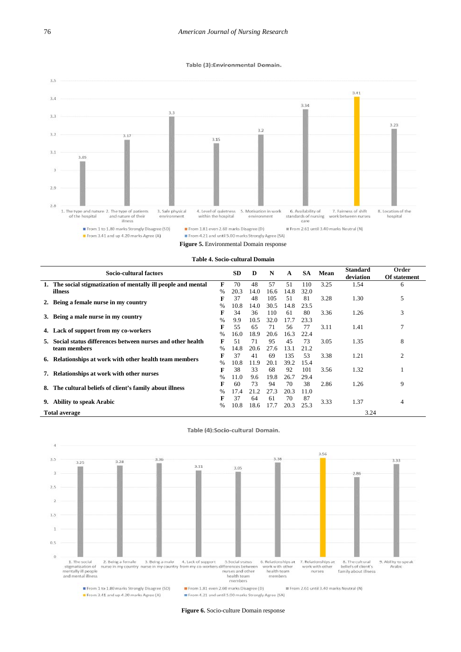#### Table (3):Environmental Domain.



| Socio-cultural factors                                          |               | <b>SD</b> | D    | N    | $\mathbf{A}$ | <b>SA</b> | Mean | <b>Standard</b><br>deviation | Order<br>Of statement |
|-----------------------------------------------------------------|---------------|-----------|------|------|--------------|-----------|------|------------------------------|-----------------------|
| 1. The social stigmatization of mentally ill people and mental  | F             | 70        | 48   | 57   | 51           | 110       | 3.25 | 1.54                         | 6                     |
| illness                                                         | $\%$          | 20.3      | 14.0 | 16.6 | 14.8         | 32.0      |      |                              |                       |
| Being a female nurse in my country                              | F             | 37        | 48   | 105  | 51           | 81        | 3.28 | 1.30                         | 5                     |
|                                                                 |               | 10.8      | 14.0 | 30.5 | 14.8         | 23.5      |      |                              |                       |
| 3. Being a male nurse in my country                             | F             | 34        | 36   | 110  | 61           | 80        | 3.36 | 1.26                         | 3                     |
|                                                                 | $\%$          | 9.9       | 10.5 | 32.0 | 17.7         | 23.3      |      |                              |                       |
| 4. Lack of support from my co-workers                           | F             | 55        | 65   | 71   | 56           | 77        | 3.11 | 1.41                         | 7                     |
|                                                                 | $\%$          | 16.0      | 18.9 | 20.6 | 16.3         | 22.4      |      |                              |                       |
| Social status differences between nurses and other health<br>5. | F             | 51        | 71   | 95   | 45           | 73        | 3.05 | 1.35                         | 8                     |
| team members                                                    | $\%$          | 14.8      | 20.6 | 27.6 | 13.1         | 21.2      |      |                              |                       |
| Relationships at work with other health team members<br>6.      | F             | 37        | 41   | 69   | 135          | 53        | 3.38 | 1.21                         | 2                     |
|                                                                 | $\frac{0}{0}$ | 10.8      | 11.9 | 20.1 | 39.2         | 15.4      |      |                              |                       |
| Relationships at work with other nurses                         | F             | 38        | 33   | 68   | 92           | 101       | 3.56 | 1.32                         |                       |
|                                                                 | $\%$          | 11.0      | 9.6  | 19.8 | 26.7         | 29.4      |      |                              |                       |
| The cultural beliefs of client's family about illness           | F             | 60        | 73   | 94   | 70           | 38        | 2.86 | 1.26                         | 9                     |
|                                                                 | $\%$          | 17.4      | 21.2 | 27.3 | 20.3         | 11.0      |      |                              |                       |
| <b>Ability to speak Arabic</b><br>9.                            | F             | 37        | 64   | 61   | 70           | 87        | 3.33 | 1.37                         | 4                     |
|                                                                 | $\%$          | 10.8      | 18.6 | 17.7 | 20.3         | 25.3      |      |                              |                       |
| <b>Total average</b>                                            |               |           |      |      |              |           |      | 3.24                         |                       |



**Figure 6.** Socio-culture Domain response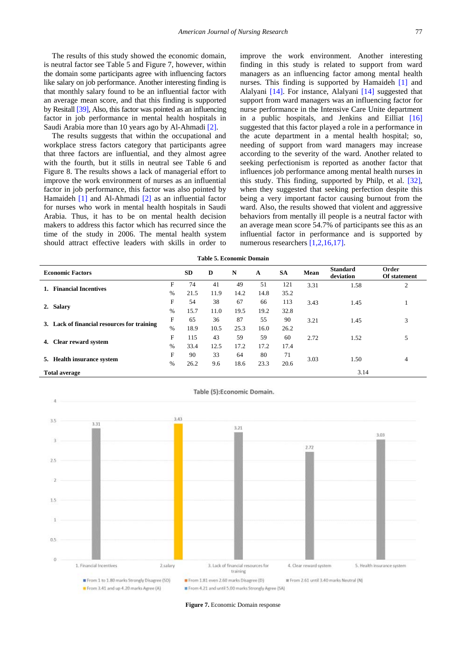The results of this study showed the economic domain, is neutral factor see Table 5 and Figure 7, however, within the domain some participants agree with influencing factors like salary on job performance. Another interesting finding is that monthly salary found to be an influential factor with an average mean score, and that this finding is supported by Resitall [\[39\],](#page-13-38) Also, this factor was pointed as an influencing factor in job performance in mental health hospitals in Saudi Arabia more than 10 years ago by Al-Ahmadi [\[2\].](#page-13-1)

The results suggests that within the occupational and workplace stress factors category that participants agree that three factors are influential, and they almost agree with the fourth, but it stills in neutral see Table 6 and Figure 8. The results shows a lack of managerial effort to improve the work environment of nurses as an influential factor in job performance, this factor was also pointed by Hamaideh [\[1\]](#page-13-0) and Al-Ahmadi [\[2\]](#page-13-1) as an influential factor for nurses who work in mental health hospitals in Saudi Arabia. Thus, it has to be on mental health decision makers to address this factor which has recurred since the time of the study in 2006. The mental health system should attract effective leaders with skills in order to

improve the work environment. Another interesting finding in this study is related to support from ward managers as an influencing factor among mental health nurses. This finding is supported by Hamaideh [\[1\]](#page-13-0) and Alalyani [\[14\].](#page-13-13) For instance, Alalyani [\[14\]](#page-13-13) suggested that support from ward managers was an influencing factor for nurse performance in the Intensive Care Unite department in a public hospitals, and Jenkins and Eilliat [\[16\]](#page-13-15) suggested that this factor played a role in a performance in the acute department in a mental health hospital; so, needing of support from ward managers may increase according to the severity of the ward. Another related to seeking perfectionism is reported as another factor that influences job performance among mental health nurses in this study. This finding, supported by Philp, et al. [\[32\],](#page-13-31) when they suggested that seeking perfection despite this being a very important factor causing burnout from the ward. Also, the results showed that violent and aggressive behaviors from mentally ill people is a neutral factor with an average mean score 54.7% of participants see this as an influential factor in performance and is supported by numerous researcher[s \[1,2,16,17\].](#page-13-0)

**Table 5. Economic Domain**

|    | <b>Economic Factors</b>                       | <b>SD</b> | D    | N    | A    | <b>SA</b> | <b>Mean</b> | <b>Standard</b><br>deviation | Order<br>Of statement |                |
|----|-----------------------------------------------|-----------|------|------|------|-----------|-------------|------------------------------|-----------------------|----------------|
|    | <b>Financial Incentives</b>                   | F         | 74   | 41   | 49   | 51        | 121         | 3.31                         | 1.58                  | $\overline{2}$ |
|    |                                               | $\%$      | 21.5 | 11.9 | 14.2 | 14.8      | 35.2        |                              |                       |                |
| 2. | <b>Salary</b>                                 |           | 54   | 38   | 67   | 66        | 113         | 3.43                         | 1.45                  |                |
|    |                                               | $\%$      | 15.7 | 11.0 | 19.5 | 19.2      | 32.8        |                              |                       |                |
| 3. | F<br>Lack of financial resources for training |           | 65   | 36   | 87   | 55        | 90          | 3.21                         | 1.45                  | 3              |
|    |                                               | $\%$      | 18.9 | 10.5 | 25.3 | 16.0      | 26.2        |                              |                       |                |
| 4. | F                                             |           | 115  | 43   | 59   | 59        | 60          | 2.72                         | 1.52                  | 5              |
|    | <b>Clear reward system</b>                    | $\%$      | 33.4 | 12.5 | 17.2 | 17.2      | 17.4        |                              |                       |                |
| 5. | <b>Health insurance system</b><br>%           |           | 90   | 33   | 64   | 80        | 71          | 3.03                         | 1.50                  | 4              |
|    |                                               |           | 26.2 | 9.6  | 18.6 | 23.3      | 20.6        |                              |                       |                |
|    | <b>Total average</b>                          |           |      |      |      |           |             | 3.14                         |                       |                |



**Figure 7.** Economic Domain response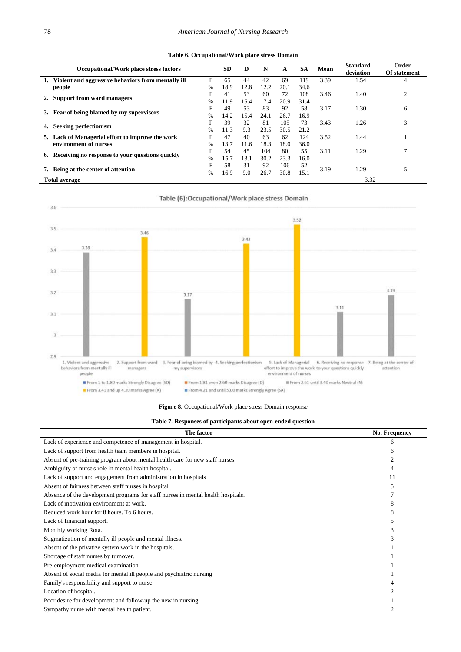**Table 6. Occupational/Work place stress Domain**

|    | <b>Occupational/Work place stress factors</b>      |               | <b>SD</b> | D    | N    | A    | <b>SA</b> | Mean | <b>Standard</b><br>deviation | Order<br>Of statement |
|----|----------------------------------------------------|---------------|-----------|------|------|------|-----------|------|------------------------------|-----------------------|
|    | Violent and aggressive behaviors from mentally ill | F             | 65        | 44   | 42   | 69   | 119       | 3.39 | 1.54                         | 4                     |
|    | people                                             | $\frac{0}{6}$ | 18.9      | 12.8 | 12.2 | 20.1 | 34.6      |      |                              |                       |
|    | <b>Support from ward managers</b>                  | F             | 41        | 53   | 60   | 72   | 108       | 3.46 | 1.40                         | $\overline{2}$        |
|    |                                                    | $\frac{0}{6}$ | 11.9      | 15.4 | 17.4 | 20.9 | 31.4      |      |                              |                       |
|    |                                                    | F             | 49        | 53   | 83   | 92   | 58        | 3.17 | 1.30                         | 6                     |
|    | Fear of being blamed by my supervisors             | $\frac{0}{0}$ | 14.2      | 15.4 | 24.1 | 26.7 | 16.9      |      |                              |                       |
| 4. |                                                    | F             | 39        | 32   | 81   | 105  | 73        | 3.43 | 1.26                         | 3                     |
|    | Seeking perfectionism                              | $\%$          | 11.3      | 9.3  | 23.5 | 30.5 | 21.2      |      |                              |                       |
|    | 5. Lack of Managerial effort to improve the work   | F             | 47        | 40   | 63   | 62   | 124       | 3.52 | 1.44                         |                       |
|    | environment of nurses                              | $\%$          | 13.7      | 11.6 | 18.3 | 18.0 | 36.0      |      |                              |                       |
|    |                                                    | F             | 54        | 45   | 104  | 80   | 55        | 3.11 | 1.29                         |                       |
| 6. | Receiving no response to your questions quickly    | $\%$          | 15.7      | 13.1 | 30.2 | 23.3 | 16.0      |      |                              |                       |
|    |                                                    | F             | 58        | 31   | 92   | 106  | 52        |      |                              |                       |
|    | Being at the center of attention                   |               | 16.9      | 9.0  | 26.7 | 30.8 | 15.1      | 3.19 | 1.29                         | 5                     |
|    | <b>Total average</b>                               |               |           |      |      |      |           |      | 3.32                         |                       |





**Figure 8.** Occupational/Work place stress Domain response

|  |  |  | Table 7. Responses of participants about open-ended question |  |  |  |  |  |  |  |  |  |  |  |  |
|--|--|--|--------------------------------------------------------------|--|--|--|--|--|--|--|--|--|--|--|--|
|  |  |  |                                                              |  |  |  |  |  |  |  |  |  |  |  |  |

| The factor                                                                       | <b>No. Frequency</b> |
|----------------------------------------------------------------------------------|----------------------|
| Lack of experience and competence of management in hospital.                     | 6                    |
| Lack of support from health team members in hospital.                            | h                    |
| Absent of pre-training program about mental health care for new staff nurses.    |                      |
| Ambiguity of nurse's role in mental health hospital.                             |                      |
| Lack of support and engagement from administration in hospitals                  | 11                   |
| Absent of fairness between staff nurses in hospital                              |                      |
| Absence of the development programs for staff nurses in mental health hospitals. |                      |
| Lack of motivation environment at work.                                          |                      |
| Reduced work hour for 8 hours. To 6 hours.                                       |                      |
| Lack of financial support.                                                       |                      |
| Monthly working Rota.                                                            |                      |
| Stigmatization of mentally ill people and mental illness.                        |                      |
| Absent of the privatize system work in the hospitals.                            |                      |
| Shortage of staff nurses by turnover.                                            |                      |
| Pre-employment medical examination.                                              |                      |
| Absent of social media for mental ill people and psychiatric nursing             |                      |
| Family's responsibility and support to nurse                                     |                      |
| Location of hospital.                                                            |                      |
| Poor desire for development and follow-up the new in nursing.                    |                      |
| Sympathy nurse with mental health patient.                                       |                      |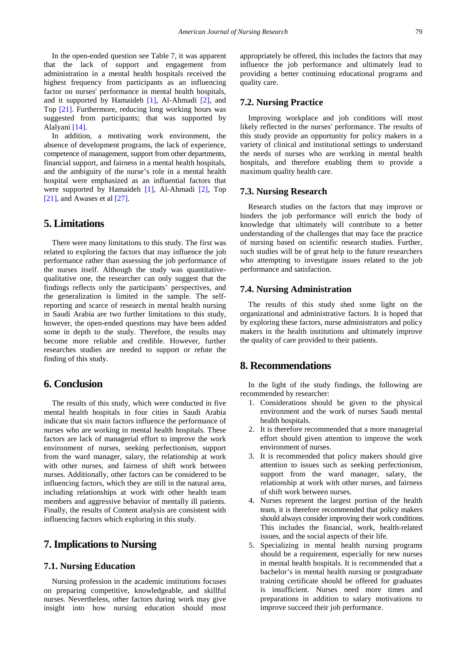In the open-ended question see Table 7, it was apparent that the lack of support and engagement from administration in a mental health hospitals received the highest frequency from participants as an influencing factor on nurses' performance in mental health hospitals, and it supported by Hamaideh [\[1\],](#page-13-0) Al-Ahmadi [\[2\],](#page-13-1) and Top [\[21\].](#page-13-20) Furthermore, reducing long working hours was suggested from participants; that was supported by Alalyani [\[14\].](#page-13-13)

In addition, a motivating work environment, the absence of development programs, the lack of experience, competence of management, support from other departments, financial support, and fairness in a mental health hospitals, and the ambiguity of the nurse's role in a mental health hospital were emphasized as an influential factors that were supported by Hamaideh [\[1\],](#page-13-0) Al-Ahmadi [\[2\],](#page-13-1) Top [\[21\],](#page-13-20) and Awases et al [\[27\].](#page-13-26)

#### **5. Limitations**

There were many limitations to this study. The first was related to exploring the factors that may influence the job performance rather than assessing the job performance of the nurses itself. Although the study was quantitativequalitative one, the researcher can only suggest that the findings reflects only the participants' perspectives, and the generalization is limited in the sample. The selfreporting and scarce of research in mental health nursing in Saudi Arabia are two further limitations to this study, however, the open-ended questions may have been added some in depth to the study. Therefore, the results may become more reliable and credible. However, further researches studies are needed to support or refute the finding of this study.

## **6. Conclusion**

The results of this study, which were conducted in five mental health hospitals in four cities in Saudi Arabia indicate that six main factors influence the performance of nurses who are working in mental health hospitals. These factors are lack of managerial effort to improve the work environment of nurses, seeking perfectionism, support from the ward manager, salary, the relationship at work with other nurses, and fairness of shift work between nurses. Additionally, other factors can be considered to be influencing factors, which they are still in the natural area, including relationships at work with other health team members and aggressive behavior of mentally ill patients. Finally, the results of Content analysis are consistent with influencing factors which exploring in this study.

## **7.Implicationsto Nursing**

#### **7.1. Nursing Education**

Nursing profession in the academic institutions focuses on preparing competitive, knowledgeable, and skillful nurses. Nevertheless, other factors during work may give insight into how nursing education should most appropriately be offered, this includes the factors that may influence the job performance and ultimately lead to providing a better continuing educational programs and quality care.

#### **7.2. Nursing Practice**

Improving workplace and job conditions will most likely reflected in the nurses' performance. The results of this study provide an opportunity for policy makers in a variety of clinical and institutional settings to understand the needs of nurses who are working in mental health hospitals, and therefore enabling them to provide a maximum quality health care.

#### **7.3. Nursing Research**

Research studies on the factors that may improve or hinders the job performance will enrich the body of knowledge that ultimately will contribute to a better understanding of the challenges that may face the practice of nursing based on scientific research studies. Further, such studies will be of great help to the future researchers who attempting to investigate issues related to the job performance and satisfaction.

#### **7.4. Nursing Administration**

The results of this study shed some light on the organizational and administrative factors. It is hoped that by exploring these factors, nurse administrators and policy makers in the health institutions and ultimately improve the quality of care provided to their patients.

#### **8. Recommendations**

In the light of the study findings, the following are recommended by researcher:

- 1. Considerations should be given to the physical environment and the work of nurses Saudi mental health hospitals.
- 2. It is therefore recommended that a more managerial effort should given attention to improve the work environment of nurses.
- 3. It is recommended that policy makers should give attention to issues such as seeking perfectionism, support from the ward manager, salary, the relationship at work with other nurses, and fairness of shift work between nurses.
- 4. Nurses represent the largest portion of the health team, it is therefore recommended that policy makers should always consider improving their work conditions. This includes the financial, work, health-related issues, and the social aspects of their life.
- 5. Specializing in mental health nursing programs should be a requirement, especially for new nurses in mental health hospitals. It is recommended that a bachelor's in mental health nursing or postgraduate training certificate should be offered for graduates is insufficient. Nurses need more times and preparations in addition to salary motivations to improve succeed their job performance.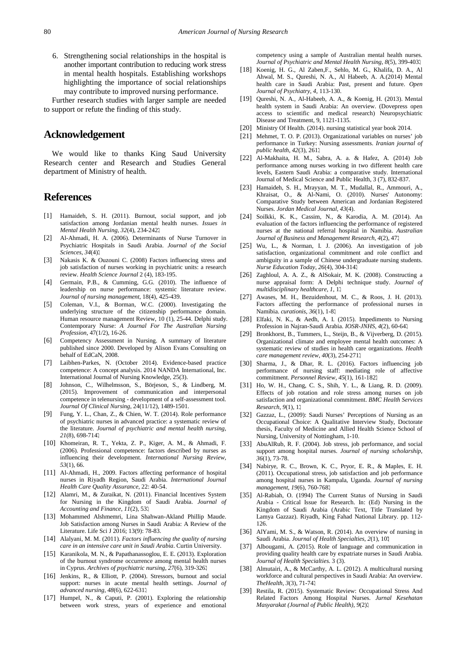6. Strengthening social relationships in the hospital is another important contribution to reducing work stress in mental health hospitals. Establishing workshops highlighting the importance of social relationships may contribute to improved nursing performance.

Further research studies with larger sample are needed to support or refute the finding of this study.

# **Acknowledgement**

We would like to thanks King Saud University Research center and Research and Studies General department of Ministry of health.

## **References**

- <span id="page-13-0"></span>[1] Hamaideh, S. H. (2011). Burnout, social support, and job satisfaction among Jordanian mental health nurses. *Issues in Mental Health Nursing*, *32*(4), 234-242.
- <span id="page-13-1"></span>[2] Al-Ahmadi, H. A. (2006). Determinants of Nurse Turnover in Psychiatric Hospitals in Saudi Arabia. *Journal of the Social*  .(4)*34* ,*Sciences*
- <span id="page-13-2"></span>[3] Nakasis K. & Ouzouni C. (2008) Factors influencing stress and job satisfaction of nurses working in psychiatric units: a research review. *Health Science Journal* 2 (4), 183-195.
- <span id="page-13-3"></span>[4] Germain, P.B., & Cumming, G.G. (2010). The influence of leadership on nurse performance: systemic literature review. *Journal of nursing management*, 18(4), 425-439.
- <span id="page-13-4"></span>[5] Coleman, V.I., & Borman, W.C. (2000). Investigating the underlying structure of the citizenship performance domain. Human resource management Review, 10 (1), 25-44. Delphi study. Contemporary Nurse: *A Journal For The Australian Nursing Profession*, 47(1/2), 16-26.
- <span id="page-13-5"></span>[6] Competency Assessment in Nursing. A summary of literature published since 2000. Developed by Alison Evans Consulting on behalf of EdCaN, 2008.
- <span id="page-13-6"></span>[7] Laibhen-Parkes, N. (October 2014). Evidence-based practice competence: A concept analysis. 2014 NANDA International, Inc. International Journal of Nursing Knowledge, 25(3).
- <span id="page-13-7"></span>[8] Johnson, C., Wilhelmsson, S., Börjeson, S., & Lindberg, M. (2015). Improvement of communication and interpersonal competence in telenursing - development of a self-assessment tool. *Journal Of Clinical Nursing*, 24(11/12), 1489-1501.
- <span id="page-13-8"></span>[9] Fung, Y. L., Chan, Z., & Chien, W. T. (2014). Role performance of psychiatric nurses in advanced practice: a systematic review of the literature. *Journal of psychiatric and mental health nursing*, 21(8), 698-714.
- <span id="page-13-9"></span>[10] Khomeiran, R. T., Yekta, Z. P., Kiger, A. M., & Ahmadi, F. (2006). Professional competence: factors described by nurses as influencing their development. *International Nursing Review*, *53*(1), 66.
- <span id="page-13-10"></span>[11] Al-Ahmadi, H., 2009. Factors affecting performance of hospital nurses in Riyadh Region, Saudi Arabia. *International Journal Health Care Quality Assurance*, 22: 40-54.
- <span id="page-13-11"></span>[12] Alamri, M., & Zuraikat, N. (2011). Financial Incentives System for Nursing in the Kingdom of Saudi Arabia. *Journal of Accounting and Finance*, *11*(2), 53.
- <span id="page-13-12"></span>[13] Mohammed Alshmemri, Lina Shahwan-Akland Phillip Maude. Job Satisfaction among Nurses in Saudi Arabia: A Review of the Literature. Life Sci J 2016; 13(9): 78-83.
- <span id="page-13-13"></span>[14] Alalyani, M. M. (2011). *Factors influencing the quality of nursing care in an intensive care unit in Saudi Arabia*. Curtin University.
- <span id="page-13-14"></span>[15] Karanikola, M. N., & Papathanassoglou, E. E. (2013). Exploration of the burnout syndrome occurrence among mental health nurses in Cyprus. *Archives of psychiatric nursing*, *27*(6), 319-326.
- <span id="page-13-15"></span>[16] Jenkins, R., & Elliott, P. (2004). Stressors, burnout and social support: nurses in acute mental health settings. *Journal of advanced nursing*, *48*(6), 622-631.
- <span id="page-13-16"></span>[17] Humpel, N., & Caputi, P. (2001). Exploring the relationship between work stress, years of experience and emotional

competency using a sample of Australian mental health nurses. *Journal of Psychiatric and Mental Health Nursing*, *8*(5), 399-403.

- <span id="page-13-17"></span>[18] Koenig, H. G., Al Zaben,F., Sehlo, M. G., Khalifa, D. A., Al Ahwal, M. S., Qureshi, N. A., Al Habeeb, A. A.(2014) Mental health care in Saudi Arabia: Past, present and future. *Open Journal of Psychiatry*, *4*, 113-130.
- <span id="page-13-18"></span>[19] Qureshi, N. A., Al-Habeeb, A. A., & Koenig, H. (2013). Mental health system in Saudi Arabia: An overview. (Dovepress open access to scientific and medical research) Neuropsychiatric Disease and Treatment, 9, 1121-1135.
- <span id="page-13-19"></span>[20] Ministry Of Health. (2014). nursing statistical year book 2014.
- <span id="page-13-20"></span>[21] Mehmet, T. O. P. (2013). Organizational variables on nurses' job performance in Turkey: Nursing assessments. *Iranian journal of public health*, *42*(3), 261.
- <span id="page-13-21"></span>[22] Al-Makhaita, H. M., Sabra, A. a. & Hafez, A. (2014) Job performance among nurses working in two different health care levels, Eastern Saudi Arabia: a comparative study. International Journal of Medical Science and Public Health, 3 (7), 832-837.
- <span id="page-13-22"></span>[23] Hamaideh, S. H., Mrayyan, M. T., Mudallal, R., Ammouri, A., Khraisat, O., & Al-Nami, O. (2010). Nurses' Autonomy: Comparative Study between American and Jordanian Registered Nurses. *Jordan Medical Journal*, *43*(4).
- <span id="page-13-23"></span>[24] Soilkki, K. K., Cassim, N., & Karodia, A. M. (2014). An evaluation of the factors influencing the performance of registered nurses at the national referral hospital in Namibia. *Australian Journal of Business and Management Research*, *4*(2), 47.
- <span id="page-13-24"></span>[25] Wu, L., & Norman, I. J. (2006). An investigation of job satisfaction, organizational commitment and role conflict and ambiguity in a sample of Chinese undergraduate nursing students. *Nurse Education Today*, *26*(4), 304-314.
- <span id="page-13-25"></span>[26] Zaghloul, A. A. Z., & AlSokair, M. K. (2008). Constructing a nurse appraisal form: A Delphi technique study. *Journal of multidisciplinary healthcare, 1,* 11
- <span id="page-13-26"></span>[27] Awases, M. H., Bezuidenhout, M. C., & Roos, J. H. (2013). Factors affecting the performance of professional nurses in Namibia. *curationis*, *36*(1), 1-8.
- <span id="page-13-27"></span>[28] Elfaki, N. K., & Aedh, A. I. (2015). Impediments to Nursing Profession in Najran-Saudi Arabia. *IOSR-JNHS*, *4*(2), 60-64.
- <span id="page-13-28"></span>[29] Bronkhorst, B., Tummers, L., Steijn, B., & Vijverberg, D. (2015). Organizational climate and employee mental health outcomes: A systematic review of studies in health care organizations. *Health care management review*, *40*(3), 254-271.
- <span id="page-13-29"></span>[30] Sharma, J., & Dhar, R. L. (2016). Factors influencing job performance of nursing staff: mediating role of affective commitment. *Personnel Review*, *45*(1), 161-182.
- <span id="page-13-30"></span>[31] Ho, W. H., Chang, C. S., Shih, Y. L., & Liang, R. D. (2009). Effects of job rotation and role stress among nurses on job satisfaction and organizational commitment. *BMC Health Services Research*, 9(1), 1.
- <span id="page-13-31"></span>[32] Gazzaz, L., (2009): Saudi Nurses' Perceptions of Nursing as an Occupational Choice: A Qualitative Interview Study, Doctorate thesis, Faculty of Medicine and Allied Health Science School of Nursing, University of Nottingham, 1-10.
- <span id="page-13-32"></span>[33] AbuAlRub, R. F. (2004). Job stress, job performance, and social support among hospital nurses. *Journal of nursing scholarship*, *36*(1), 73-78.
- <span id="page-13-33"></span>[34] Nabirye, R. C., Brown, K. C., Pryor, E. R., & Maples, E. H. (2011). Occupational stress, job satisfaction and job performance among hospital nurses in Kampala, Uganda. *Journal of nursing*  management, 19(6), 760-768.
- <span id="page-13-34"></span>[35] Al-Rabiah, O. (1994) The Current Status of Nursing in Saudi Arabia - Critical Issue for Research. In: (Ed) Nursing in the Kingdom of Saudi Arabia (Arabic Text, Title Translated by Lamya Gazzaz). Riyadh, King Fahad National Library. pp. 112- 126.
- <span id="page-13-35"></span>[36] AlYami, M. S., & Watson, R. (2014). An overview of nursing in Saudi Arabia. *Journal of Health Specialties*, *2*(1), 10.
- <span id="page-13-36"></span>[37] Albougami, A. (2015). Role of language and communication in providing quality health care by expatriate nurses in Saudi Arabia. *Journal of Health Specialties*. 3 (3).
- <span id="page-13-37"></span>[38] Almutairi, A., & McCarthy, A. L. (2012). A multicultural nursing workforce and cultural perspectives in Saudi Arabia: An overview. 71-74. ,(3)*3* ,*TheHealth*
- <span id="page-13-38"></span>[39] Restila, R. (2015). Systematic Review: Occupational Stress And Related Factors Among Hospital Nurses. *Jurnal Kesehatan Masyarakat (Journal of Public Health)*, *9*(2).